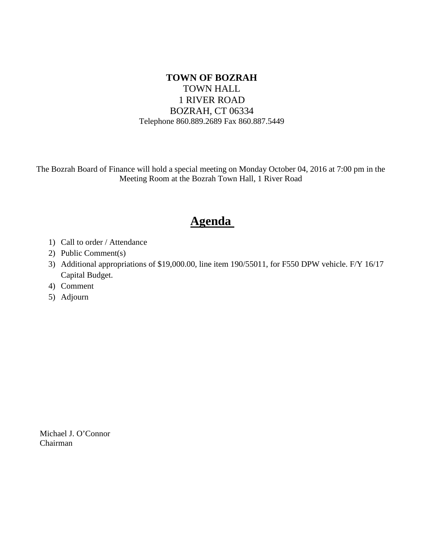# **TOWN OF BOZRAH** TOWN HALL 1 RIVER ROAD BOZRAH, CT 06334 Telephone 860.889.2689 Fax 860.887.5449

The Bozrah Board of Finance will hold a special meeting on Monday October 04, 2016 at 7:00 pm in the Meeting Room at the Bozrah Town Hall, 1 River Road

# **Agenda**

- 1) Call to order / Attendance
- 2) Public Comment(s)
- 3) Additional appropriations of \$19,000.00, line item 190/55011, for F550 DPW vehicle. F/Y 16/17 Capital Budget.
- 4) Comment
- 5) Adjourn

Michael J. O'Connor Chairman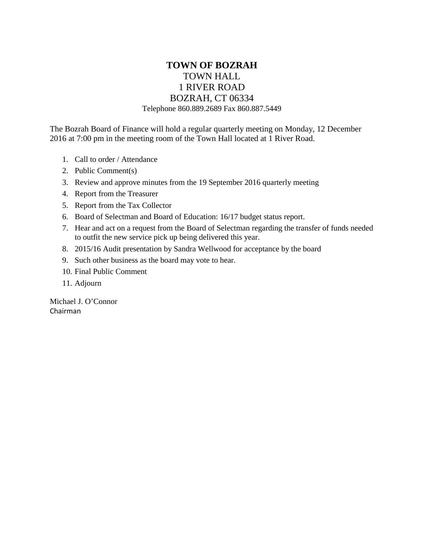# **TOWN OF BOZRAH** TOWN HALL 1 RIVER ROAD BOZRAH, CT 06334 Telephone 860.889.2689 Fax 860.887.5449

The Bozrah Board of Finance will hold a regular quarterly meeting on Monday, 12 December 2016 at 7:00 pm in the meeting room of the Town Hall located at 1 River Road.

- 1. Call to order / Attendance
- 2. Public Comment(s)
- 3. Review and approve minutes from the 19 September 2016 quarterly meeting
- 4. Report from the Treasurer
- 5. Report from the Tax Collector
- 6. Board of Selectman and Board of Education: 16/17 budget status report.
- 7. Hear and act on a request from the Board of Selectman regarding the transfer of funds needed to outfit the new service pick up being delivered this year.
- 8. 2015/16 Audit presentation by Sandra Wellwood for acceptance by the board
- 9. Such other business as the board may vote to hear.
- 10. Final Public Comment
- 11. Adjourn

Michael J. O'Connor Chairman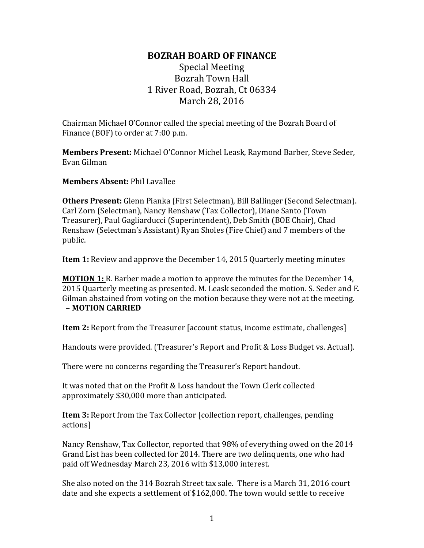# Special Meeting Bozrah Town Hall 1 River Road, Bozrah, Ct 06334 March 28, 2016

Chairman Michael O'Connor called the special meeting of the Bozrah Board of Finance (BOF) to order at 7:00 p.m.

**Members Present:** Michael O'Connor Michel Leask, Raymond Barber, Steve Seder, Evan Gilman

**Members Absent:** Phil Lavallee

**Others Present:** Glenn Pianka (First Selectman), Bill Ballinger (Second Selectman). Carl Zorn (Selectman), Nancy Renshaw (Tax Collector), Diane Santo (Town Treasurer), Paul Gagliarducci (Superintendent), Deb Smith (BOE Chair), Chad Renshaw (Selectman's Assistant) Ryan Sholes (Fire Chief) and 7 members of the public.

**Item 1:** Review and approve the December 14, 2015 Quarterly meeting minutes

**MOTION 1:** R. Barber made a motion to approve the minutes for the December 14, 2015 Quarterly meeting as presented. M. Leask seconded the motion. S. Seder and E. Gilman abstained from voting on the motion because they were not at the meeting. – **MOTION CARRIED**

**Item 2:** Report from the Treasurer [account status, income estimate, challenges]

Handouts were provided. (Treasurer's Report and Profit & Loss Budget vs. Actual).

There were no concerns regarding the Treasurer's Report handout.

It was noted that on the Profit & Loss handout the Town Clerk collected approximately \$30,000 more than anticipated.

**Item 3:** Report from the Tax Collector [collection report, challenges, pending actions]

Nancy Renshaw, Tax Collector, reported that 98% of everything owed on the 2014 Grand List has been collected for 2014. There are two delinquents, one who had paid off Wednesday March 23, 2016 with \$13,000 interest.

She also noted on the 314 Bozrah Street tax sale. There is a March 31, 2016 court date and she expects a settlement of \$162,000. The town would settle to receive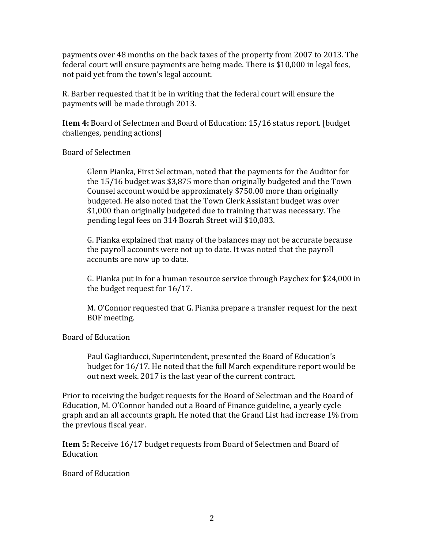payments over 48 months on the back taxes of the property from 2007 to 2013. The federal court will ensure payments are being made. There is \$10,000 in legal fees, not paid yet from the town's legal account.

R. Barber requested that it be in writing that the federal court will ensure the payments will be made through 2013.

**Item 4:** Board of Selectmen and Board of Education: 15/16 status report. [budget challenges, pending actions]

Board of Selectmen

Glenn Pianka, First Selectman, noted that the payments for the Auditor for the 15/16 budget was \$3,875 more than originally budgeted and the Town Counsel account would be approximately \$750.00 more than originally budgeted. He also noted that the Town Clerk Assistant budget was over \$1,000 than originally budgeted due to training that was necessary. The pending legal fees on 314 Bozrah Street will \$10,083.

G. Pianka explained that many of the balances may not be accurate because the payroll accounts were not up to date. It was noted that the payroll accounts are now up to date.

G. Pianka put in for a human resource service through Paychex for \$24,000 in the budget request for 16/17.

M. O'Connor requested that G. Pianka prepare a transfer request for the next BOF meeting.

Board of Education

Paul Gagliarducci, Superintendent, presented the Board of Education's budget for 16/17. He noted that the full March expenditure report would be out next week. 2017 is the last year of the current contract.

Prior to receiving the budget requests for the Board of Selectman and the Board of Education, M. O'Connor handed out a Board of Finance guideline, a yearly cycle graph and an all accounts graph. He noted that the Grand List had increase 1% from the previous fiscal year.

**Item 5:** Receive 16/17 budget requests from Board of Selectmen and Board of Education

Board of Education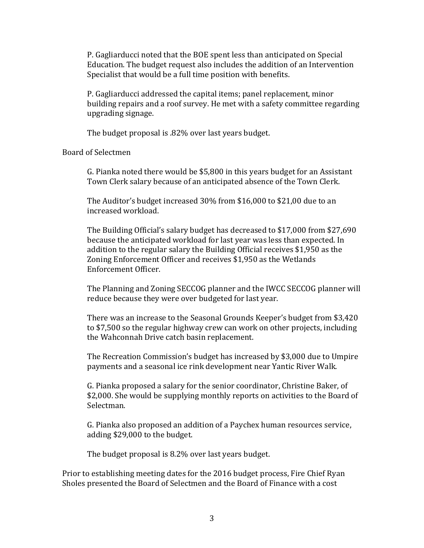P. Gagliarducci noted that the BOE spent less than anticipated on Special Education. The budget request also includes the addition of an Intervention Specialist that would be a full time position with benefits.

P. Gagliarducci addressed the capital items; panel replacement, minor building repairs and a roof survey. He met with a safety committee regarding upgrading signage.

The budget proposal is .82% over last years budget.

Board of Selectmen

G. Pianka noted there would be \$5,800 in this years budget for an Assistant Town Clerk salary because of an anticipated absence of the Town Clerk.

The Auditor's budget increased 30% from \$16,000 to \$21,00 due to an increased workload.

The Building Official's salary budget has decreased to \$17,000 from \$27,690 because the anticipated workload for last year was less than expected. In addition to the regular salary the Building Official receives \$1,950 as the Zoning Enforcement Officer and receives \$1,950 as the Wetlands Enforcement Officer.

The Planning and Zoning SECCOG planner and the IWCC SECCOG planner will reduce because they were over budgeted for last year.

There was an increase to the Seasonal Grounds Keeper's budget from \$3,420 to \$7,500 so the regular highway crew can work on other projects, including the Wahconnah Drive catch basin replacement.

The Recreation Commission's budget has increased by \$3,000 due to Umpire payments and a seasonal ice rink development near Yantic River Walk.

G. Pianka proposed a salary for the senior coordinator, Christine Baker, of \$2,000. She would be supplying monthly reports on activities to the Board of Selectman.

G. Pianka also proposed an addition of a Paychex human resources service, adding \$29,000 to the budget.

The budget proposal is 8.2% over last years budget.

Prior to establishing meeting dates for the 2016 budget process, Fire Chief Ryan Sholes presented the Board of Selectmen and the Board of Finance with a cost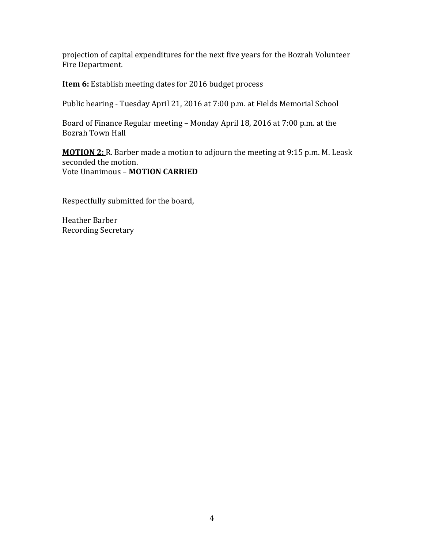projection of capital expenditures for the next five years for the Bozrah Volunteer Fire Department.

**Item 6:** Establish meeting dates for 2016 budget process

Public hearing - Tuesday April 21, 2016 at 7:00 p.m. at Fields Memorial School

Board of Finance Regular meeting – Monday April 18, 2016 at 7:00 p.m. at the Bozrah Town Hall

**MOTION 2:** R. Barber made a motion to adjourn the meeting at 9:15 p.m. M. Leask seconded the motion. Vote Unanimous – **MOTION CARRIED**

Respectfully submitted for the board,

Heather Barber Recording Secretary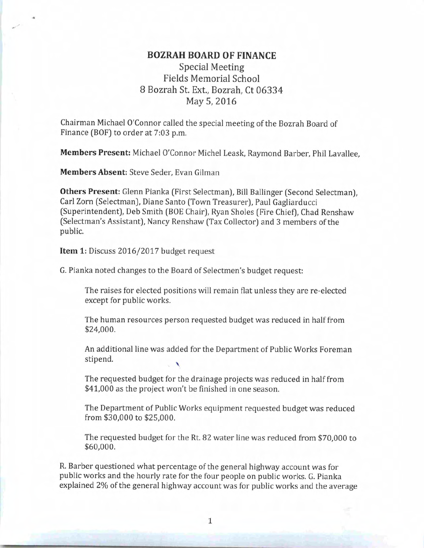# **Special Meeting Fields Memorial School** 8 Bozrah St. Ext., Bozrah, Ct 06334 May 5, 2016

Chairman Michael O'Connor called the special meeting of the Bozrah Board of Finance (BOF) to order at 7:03 p.m.

Members Present: Michael O'Connor Michel Leask, Raymond Barber, Phil Lavallee.

Members Absent: Steve Seder, Evan Gilman

Others Present: Glenn Pianka (First Selectman), Bill Ballinger (Second Selectman), Carl Zorn (Selectman), Diane Santo (Town Treasurer), Paul Gagliarducci (Superintendent), Deb Smith (BOE Chair), Ryan Sholes (Fire Chief), Chad Renshaw (Selectman's Assistant), Nancy Renshaw (Tax Collector) and 3 members of the public.

Item 1: Discuss 2016/2017 budget request

G. Pianka noted changes to the Board of Selectmen's budget request:

The raises for elected positions will remain flat unless they are re-elected except for public works.

The human resources person requested budget was reduced in half from \$24,000.

An additional line was added for the Department of Public Works Foreman stipend.

The requested budget for the drainage projects was reduced in half from \$41,000 as the project won't be finished in one season.

The Department of Public Works equipment requested budget was reduced from \$30,000 to \$25,000.

The requested budget for the Rt. 82 water line was reduced from \$70,000 to \$60,000.

R. Barber questioned what percentage of the general highway account was for public works and the hourly rate for the four people on public works. G. Pianka explained 2% of the general highway account was for public works and the average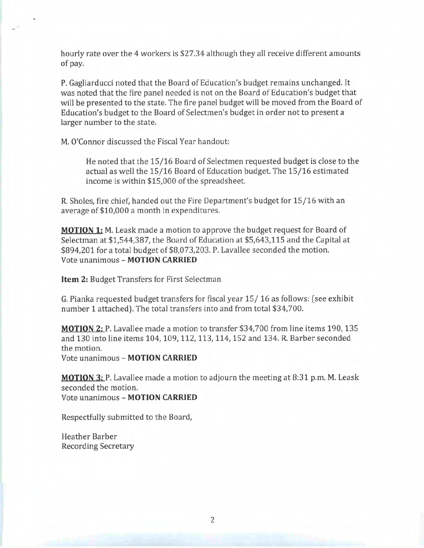hourly rate over the 4 workers is \$27.34 although they all receive different amounts of pay.

P. Gagliarducci noted that the Board of Education's budget remains unchanged. It was noted that the fire panel needed is not on the Board of Education's budget that will be presented to the state. The fire panel budget will be moved from the Board of Education's budget to the Board of Selectmen's budget in order not to present a larger number to the state.

M. O'Connor discussed the Fiscal Year handout:

He noted that the 15/16 Board of Selectmen requested budget is close to the actual as well the 15/16 Board of Education budget. The 15/16 estimated income is within \$15,000 of the spreadsheet.

R. Sholes, fire chief, handed out the Fire Department's budget for 15/16 with an average of \$10,000 a month in expenditures.

**MOTION 1:** M. Leask made a motion to approve the budget request for Board of Selectman at \$1,544,387, the Board of Education at \$5,643,115 and the Capital at \$894,201 for a total budget of \$8,073,203. P. Lavallee seconded the motion. Vote unanimous - MOTION CARRIED

Item 2: Budget Transfers for First Selectman

G. Pianka requested budget transfers for fiscal year 15/16 as follows: (see exhibit number 1 attached). The total transfers into and from total \$34,700.

MOTION 2: P. Lavallee made a motion to transfer \$34,700 from line items 190, 135 and 130 into line items 104, 109, 112, 113, 114, 152 and 134. R. Barber seconded the motion.

Vote unanimous - MOTION CARRIED

**MOTION 3:** P. Lavallee made a motion to adjourn the meeting at 8:31 p.m. M. Leask seconded the motion. Vote unanimous - MOTION CARRIED

Respectfully submitted to the Board,

Heather Barber **Recording Secretary** 

 $\overline{2}$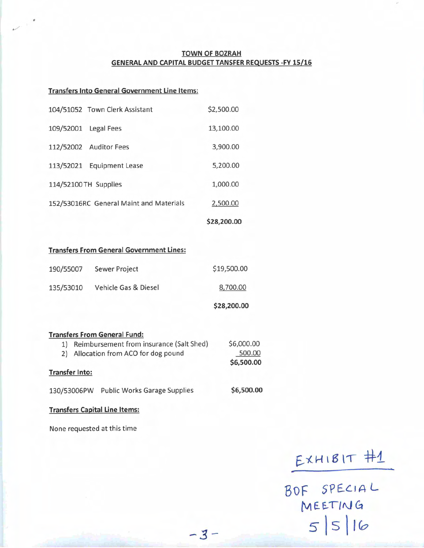#### **TOWN OF BOZRAH GENERAL AND CAPITAL BUDGET TANSFER REQUESTS -FY 15/16**

\$28,200.00

#### **Transfers Into General Government Line Items:**

|                                         | 104/51052 Town Clerk Assistant | \$2,500.00 |  |
|-----------------------------------------|--------------------------------|------------|--|
|                                         | 109/52001 Legal Fees           | 13,100.00  |  |
|                                         | 112/52002 Auditor Fees         | 3,900.00   |  |
|                                         | 113/52021 Equipment Lease      | 5,200.00   |  |
| 114/52100 TH Supplies                   |                                | 1,000.00   |  |
| 152/53016RC General Maint and Materials |                                | 2,500.00   |  |
|                                         |                                |            |  |

#### **Transfers From General Government Lines:**

|           |                      | \$28,200.00 |
|-----------|----------------------|-------------|
| 135/53010 | Vehicle Gas & Diesel | 8,700.00    |
| 190/55007 | Sewer Project        | \$19,500.00 |

|                       | <b>Transfers From General Fund:</b>      |            |
|-----------------------|------------------------------------------|------------|
| 1)                    | Reimbursement from insurance (Salt Shed) | \$6,000.00 |
| 2)                    | Allocation from ACO for dog pound        | 500.00     |
|                       |                                          | \$6,500.00 |
| <b>Transfer Into:</b> |                                          |            |
| 130/53006PW           | <b>Public Works Garage Supplies</b>      | \$6,500.00 |

 $-3-$ 

#### **Transfers Capital Line Items:**

None requested at this time

 $E$ XHIBIT  $#1$ 

BOF SPECIAL MEETING  $5|5|16$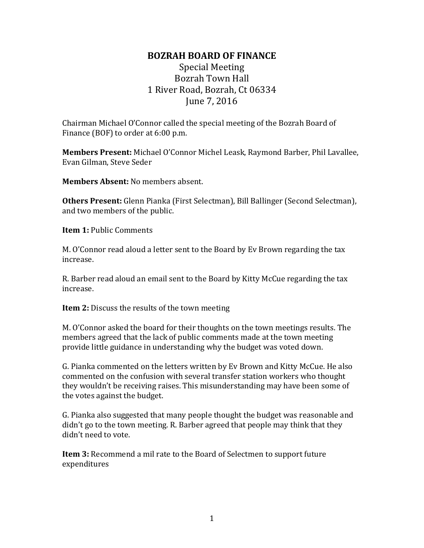# Special Meeting Bozrah Town Hall 1 River Road, Bozrah, Ct 06334 June 7, 2016

Chairman Michael O'Connor called the special meeting of the Bozrah Board of Finance (BOF) to order at 6:00 p.m.

**Members Present:** Michael O'Connor Michel Leask, Raymond Barber, Phil Lavallee, Evan Gilman, Steve Seder

**Members Absent:** No members absent.

**Others Present:** Glenn Pianka (First Selectman), Bill Ballinger (Second Selectman), and two members of the public.

**Item 1:** Public Comments

M. O'Connor read aloud a letter sent to the Board by Ev Brown regarding the tax increase.

R. Barber read aloud an email sent to the Board by Kitty McCue regarding the tax increase.

**Item 2:** Discuss the results of the town meeting

M. O'Connor asked the board for their thoughts on the town meetings results. The members agreed that the lack of public comments made at the town meeting provide little guidance in understanding why the budget was voted down.

G. Pianka commented on the letters written by Ev Brown and Kitty McCue. He also commented on the confusion with several transfer station workers who thought they wouldn't be receiving raises. This misunderstanding may have been some of the votes against the budget.

G. Pianka also suggested that many people thought the budget was reasonable and didn't go to the town meeting. R. Barber agreed that people may think that they didn't need to vote.

**Item 3:** Recommend a mil rate to the Board of Selectmen to support future expenditures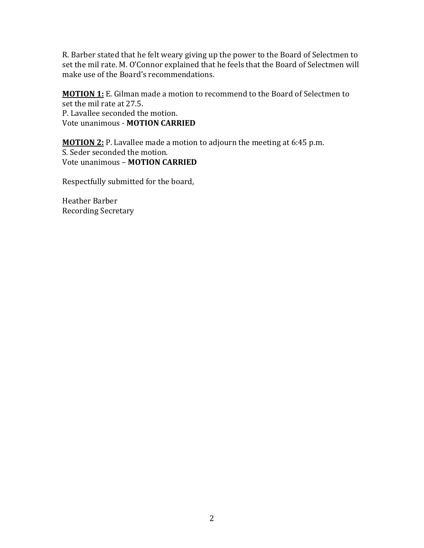R. Barber stated that he felt weary giving up the power to the Board of Selectmen to set the mil rate. M. O'Connor explained that he feels that the Board of Selectmen will make use of the Board's recommendations.

**MOTION 1:** E. Gilman made a motion to recommend to the Board of Selectmen to set the mil rate at 27.5. P. Lavallee seconded the motion. Vote unanimous - **MOTION CARRIED**

**MOTION 2:** P. Lavallee made a motion to adjourn the meeting at 6:45 p.m. S. Seder seconded the motion. Vote unanimous – **MOTION CARRIED** 

Respectfully submitted for the board,

Heather Barber Recording Secretary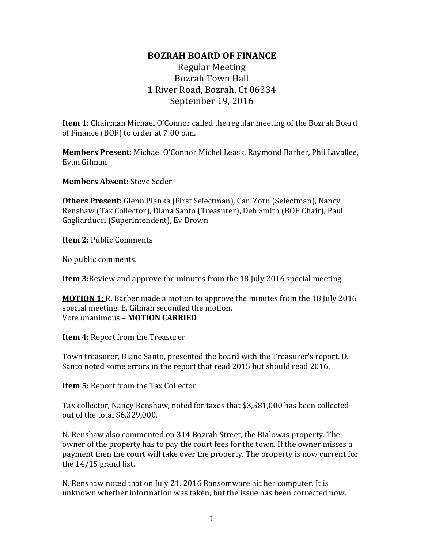# Regular Meeting Bozrah Town Hall 1 River Road, Bozrah, Ct 06334 September 19, 2016

**Item 1:** Chairman Michael O'Connor called the regular meeting of the Bozrah Board of Finance (BOF) to order at 7:00 p.m.

**Members Present:** Michael O'Connor Michel Leask, Raymond Barber, Phil Lavallee, Evan Gilman

**Members Absent:** Steve Seder

**Others Present:** Glenn Pianka (First Selectman), Carl Zorn (Selectman), Nancy Renshaw (Tax Collector), Diana Santo (Treasurer), Deb Smith (BOE Chair), Paul Gagliarducci (Superintendent), Ev Brown

**Item 2: Public Comments** 

No public comments.

**Item 3:**Review and approve the minutes from the 18 July 2016 special meeting

**MOTION 1:** R. Barber made a motion to approve the minutes from the 18 July 2016 special meeting. E. Gilman seconded the motion. Vote unanimous – **MOTION CARRIED**

**Item 4:** Report from the Treasurer

Town treasurer, Diane Santo, presented the board with the Treasurer's report. D. Santo noted some errors in the report that read 2015 but should read 2016.

**Item 5:** Report from the Tax Collector

Tax collector, Nancy Renshaw, noted for taxes that \$3,581,000 has been collected out of the total \$6,329,000.

N. Renshaw also commented on 314 Bozrah Street, the Bialowas property. The owner of the property has to pay the court fees for the town. If the owner misses a payment then the court will take over the property. The property is now current for the 14/15 grand list.

N. Renshaw noted that on July 21. 2016 Ransomware hit her computer. It is unknown whether information was taken, but the issue has been corrected now.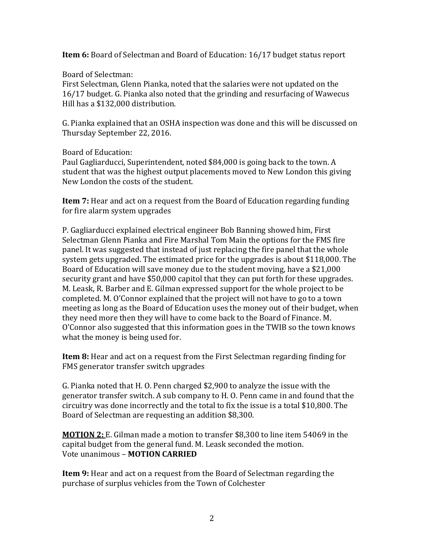**Item 6:** Board of Selectman and Board of Education: 16/17 budget status report

Board of Selectman:

First Selectman, Glenn Pianka, noted that the salaries were not updated on the 16/17 budget. G. Pianka also noted that the grinding and resurfacing of Wawecus Hill has a \$132,000 distribution.

G. Pianka explained that an OSHA inspection was done and this will be discussed on Thursday September 22, 2016.

Board of Education:

Paul Gagliarducci, Superintendent, noted \$84,000 is going back to the town. A student that was the highest output placements moved to New London this giving New London the costs of the student.

**Item 7:** Hear and act on a request from the Board of Education regarding funding for fire alarm system upgrades

P. Gagliarducci explained electrical engineer Bob Banning showed him, First Selectman Glenn Pianka and Fire Marshal Tom Main the options for the FMS fire panel. It was suggested that instead of just replacing the fire panel that the whole system gets upgraded. The estimated price for the upgrades is about \$118,000. The Board of Education will save money due to the student moving, have a \$21,000 security grant and have \$50,000 capitol that they can put forth for these upgrades. M. Leask, R. Barber and E. Gilman expressed support for the whole project to be completed. M. O'Connor explained that the project will not have to go to a town meeting as long as the Board of Education uses the money out of their budget, when they need more then they will have to come back to the Board of Finance. M. O'Connor also suggested that this information goes in the TWIB so the town knows what the money is being used for.

**Item 8:** Hear and act on a request from the First Selectman regarding finding for FMS generator transfer switch upgrades

G. Pianka noted that H. O. Penn charged \$2,900 to analyze the issue with the generator transfer switch. A sub company to H. O. Penn came in and found that the circuitry was done incorrectly and the total to fix the issue is a total \$10,800. The Board of Selectman are requesting an addition \$8,300.

**MOTION 2:** E. Gilman made a motion to transfer \$8,300 to line item 54069 in the capital budget from the general fund. M. Leask seconded the motion. Vote unanimous – **MOTION CARRIED**

**Item 9:** Hear and act on a request from the Board of Selectman regarding the purchase of surplus vehicles from the Town of Colchester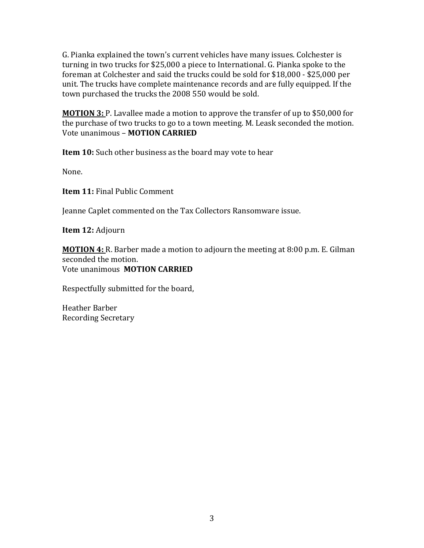G. Pianka explained the town's current vehicles have many issues. Colchester is turning in two trucks for \$25,000 a piece to International. G. Pianka spoke to the foreman at Colchester and said the trucks could be sold for \$18,000 - \$25,000 per unit. The trucks have complete maintenance records and are fully equipped. If the town purchased the trucks the 2008 550 would be sold.

**MOTION 3:** P. Lavallee made a motion to approve the transfer of up to \$50,000 for the purchase of two trucks to go to a town meeting. M. Leask seconded the motion. Vote unanimous – **MOTION CARRIED**

**Item 10:** Such other business as the board may vote to hear

None.

**Item 11:** Final Public Comment

Jeanne Caplet commented on the Tax Collectors Ransomware issue.

**Item 12:** Adjourn

**MOTION 4:** R. Barber made a motion to adjourn the meeting at 8:00 p.m. E. Gilman seconded the motion. Vote unanimous **MOTION CARRIED** 

Respectfully submitted for the board,

Heather Barber Recording Secretary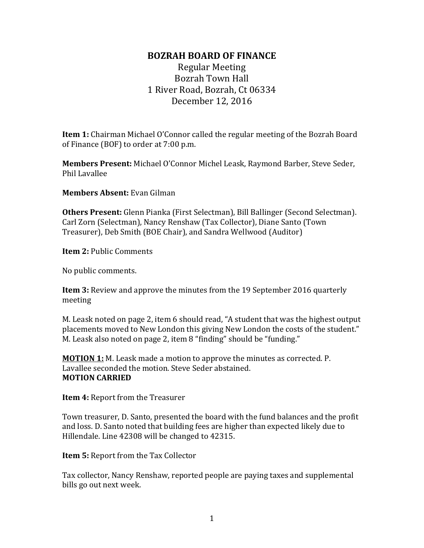Regular Meeting Bozrah Town Hall 1 River Road, Bozrah, Ct 06334 December 12, 2016

**Item 1:** Chairman Michael O'Connor called the regular meeting of the Bozrah Board of Finance (BOF) to order at 7:00 p.m.

**Members Present:** Michael O'Connor Michel Leask, Raymond Barber, Steve Seder, Phil Lavallee

**Members Absent:** Evan Gilman

**Others Present:** Glenn Pianka (First Selectman), Bill Ballinger (Second Selectman). Carl Zorn (Selectman), Nancy Renshaw (Tax Collector), Diane Santo (Town Treasurer), Deb Smith (BOE Chair), and Sandra Wellwood (Auditor)

**Item 2:** Public Comments

No public comments.

**Item 3:** Review and approve the minutes from the 19 September 2016 quarterly meeting

M. Leask noted on page 2, item 6 should read, "A student that was the highest output placements moved to New London this giving New London the costs of the student." M. Leask also noted on page 2, item 8 "finding" should be "funding."

**MOTION 1:** M. Leask made a motion to approve the minutes as corrected. P. Lavallee seconded the motion. Steve Seder abstained. **MOTION CARRIED** 

**Item 4:** Report from the Treasurer

Town treasurer, D. Santo, presented the board with the fund balances and the profit and loss. D. Santo noted that building fees are higher than expected likely due to Hillendale. Line 42308 will be changed to 42315.

**Item 5:** Report from the Tax Collector

Tax collector, Nancy Renshaw, reported people are paying taxes and supplemental bills go out next week.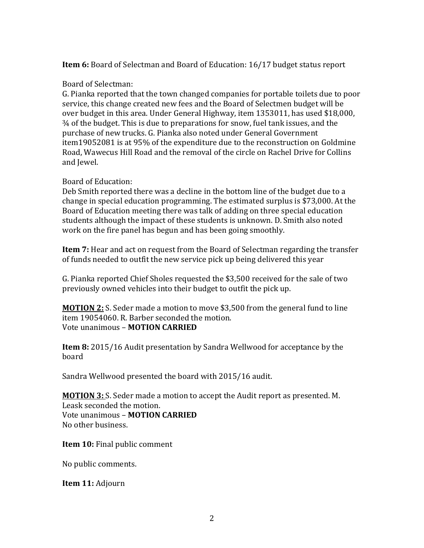### **Item 6:** Board of Selectman and Board of Education: 16/17 budget status report

### Board of Selectman:

G. Pianka reported that the town changed companies for portable toilets due to poor service, this change created new fees and the Board of Selectmen budget will be over budget in this area. Under General Highway, item 1353011, has used \$18,000, ¾ of the budget. This is due to preparations for snow, fuel tank issues, and the purchase of new trucks. G. Pianka also noted under General Government item19052081 is at 95% of the expenditure due to the reconstruction on Goldmine Road, Wawecus Hill Road and the removal of the circle on Rachel Drive for Collins and Jewel.

### Board of Education:

Deb Smith reported there was a decline in the bottom line of the budget due to a change in special education programming. The estimated surplus is \$73,000. At the Board of Education meeting there was talk of adding on three special education students although the impact of these students is unknown. D. Smith also noted work on the fire panel has begun and has been going smoothly.

**Item 7:** Hear and act on request from the Board of Selectman regarding the transfer of funds needed to outfit the new service pick up being delivered this year

G. Pianka reported Chief Sholes requested the \$3,500 received for the sale of two previously owned vehicles into their budget to outfit the pick up.

**MOTION 2:** S. Seder made a motion to move \$3,500 from the general fund to line item 19054060. R. Barber seconded the motion. Vote unanimous – **MOTION CARRIED**

**Item 8:** 2015/16 Audit presentation by Sandra Wellwood for acceptance by the board

Sandra Wellwood presented the board with 2015/16 audit.

**MOTION 3:** S. Seder made a motion to accept the Audit report as presented. M. Leask seconded the motion. Vote unanimous – **MOTION CARRIED** No other business.

**Item 10:** Final public comment

No public comments.

**Item 11:** Adjourn